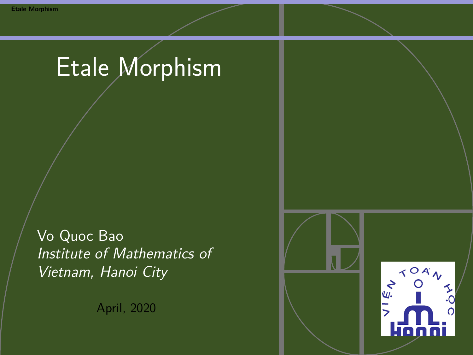# <span id="page-0-0"></span>Etale Morphism

Vo Quoc Bao Institute of Mathematics of Vietnam, Hanoi City

April, 2020

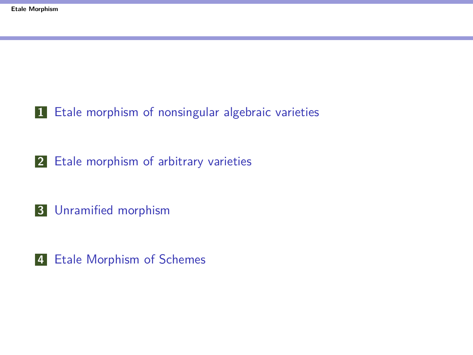[Etale morphism of nonsingular algebraic varieties](#page-2-0)

[Etale morphism of arbitrary varieties](#page-8-0)

[Unramified morphism](#page-16-0)

[Etale Morphism of Schemes](#page-31-0)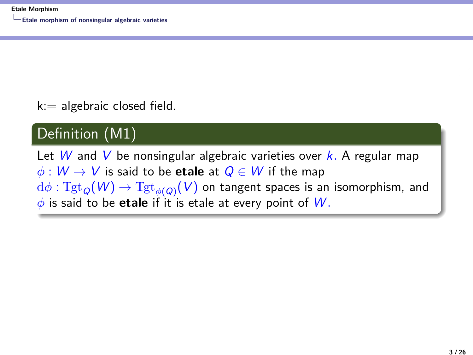<span id="page-2-0"></span> $k ==$  algebraic closed field.

#### Definition (M1)

Let W and V be nonsingular algebraic varieties over k. A regular map  $\phi: W \to V$  is said to be **etale** at  $Q \in W$  if the map  ${\rm d}\phi:\mathrm{Tgt}_Q(\mathcal{W})\to \mathrm{Tgt}_{\phi(Q)}(\mathcal{V})$  on tangent spaces is an isomorphism, and *φ* is said to be **etale** if it is etale at every point of W *.*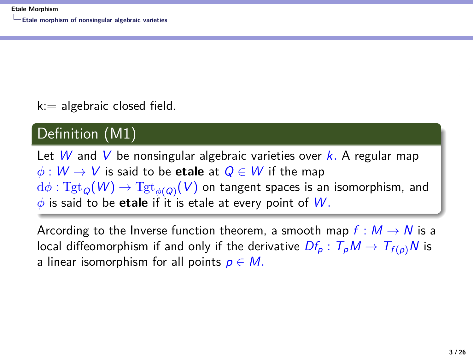$k ==$  algebraic closed field.

#### Definition (M1)

Let W and V be nonsingular algebraic varieties over k. A regular map  $\phi: W \to V$  is said to be **etale** at  $Q \in W$  if the map  ${\rm d}\phi:\mathrm{Tgt}_Q(\mathcal{W})\to \mathrm{Tgt}_{\phi(Q)}(\mathcal{V})$  on tangent spaces is an isomorphism, and *φ* is said to be **etale** if it is etale at every point of W *.*

Arcording to the Inverse function theorem, a smooth map  $f : M \to N$  is a local diffeomorphism if and only if the derivative  $Df_p : T_pM \to T_{f(p)}N$  is a linear isomorphism for all points  $p \in M$ .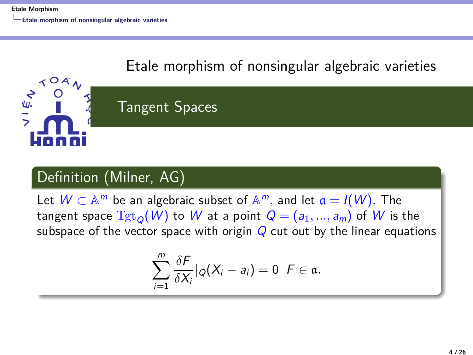$\prec$   $\circ$   $\land$ 

 $rac{1}{2}$ 

## [Etale morphism of nonsingular algebraic varieties](#page-2-0)

## Tangent Spaces

#### Definition (Milner, AG)

Let  $W \subset \mathbb{A}^m$  be an algebraic subset of  $\mathbb{A}^m$ , and let  $\mathfrak{a} = I(W)$ . The tangent space  $Tgt_0(W)$  to W at a point  $Q = (a_1, ..., a_m)$  of W is the subspace of the vector space with origin  $Q$  cut out by the linear equations

$$
\sum_{i=1}^m \frac{\delta F}{\delta X_i} |_{Q}(X_i - a_i) = 0 \ \ F \in \mathfrak{a}.
$$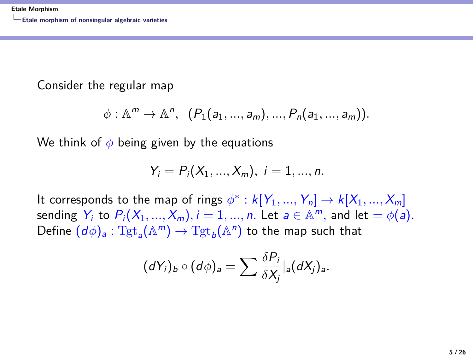Consider the regular map

$$
\phi: \mathbb{A}^m \to \mathbb{A}^n, \ \ (P_1(a_1, ..., a_m), ..., P_n(a_1, ..., a_m)).
$$

We think of *φ* being given by the equations

$$
Y_i = P_i(X_1, ..., X_m), i = 1, ..., n.
$$

It corresponds to the map of rings  $\phi^*: k[Y_1, ..., Y_n] \to k[X_1, ..., X_m]$ sending  $Y_i$  to  $P_i(X_1,...,X_m), i = 1,...,n$ . Let  $a \in \mathbb{A}^m$ , and let  $= \phi(a).$ Define  $(d\phi)_a : \mathrm{Tgt}_a(\mathbb{A}^m) \to \mathrm{Tgt}_b(\mathbb{A}^n)$  to the map such that

$$
(dY_i)_b \circ (d\phi)_a = \sum \frac{\delta P_i}{\delta X_j}|_a (dX_j)_a.
$$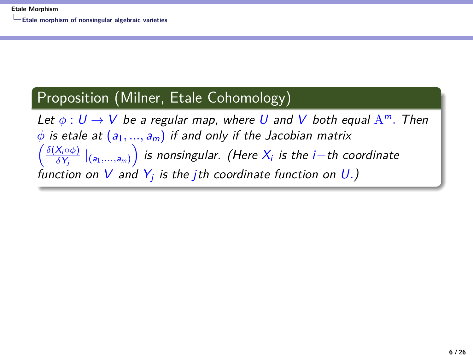#### Proposition (Milner, Etale Cohomology)

Let  $\phi: U \to V$  be a regular map, where U and V both equal  $A^m$ . Then  $\phi$  is etale at  $(a_1, ..., a_m)$  if and only if the Jacobian matrix  $\int$   $\frac{\delta(X_i \circ \phi)}{f(x_i \circ \phi)}$  $\frac{X_i\circ \phi)}{\delta Y_j}\mid_{(a_1,...,a_m)}\right)$  is nonsingular. (Here  $X_i$  is the i $-$ th coordinate function on  $V$  and  $Y_j$  is the jth coordinate function on  $U$ .)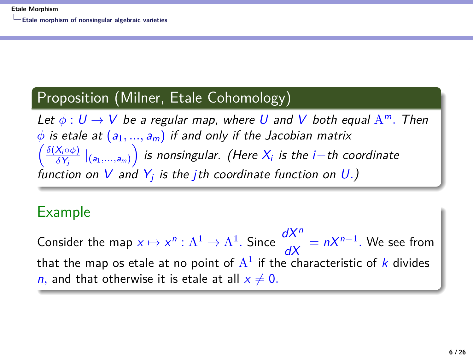#### Proposition (Milner, Etale Cohomology)

Let  $\phi: U \to V$  be a regular map, where U and V both equal  $A^m$ . Then  $\phi$  is etale at  $(a_1, ..., a_m)$  if and only if the Jacobian matrix  $\int$   $\frac{\delta(X_i \circ \phi)}{f(x_i \circ \phi)}$  $\frac{X_i\circ \phi)}{\delta Y_j}\mid_{(a_1,...,a_m)}\right)$  is nonsingular. (Here  $X_i$  is the i $-$ th coordinate function on  $V$  and  $Y_j$  is the jth coordinate function on  $U$ .)

#### Example

Consider the map  $x \mapsto x^n : A^1 \to A^1$ . Since  $\frac{dX^n}{dX} = nX^{n-1}$ . We see from that the map os etale at no point of  $\mathrm{A}^1$  if the characteristic of  $k$  divides *n*, and that otherwise it is etale at all  $x \neq 0$ .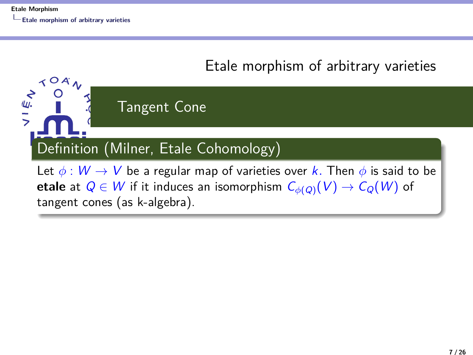

<span id="page-8-0"></span>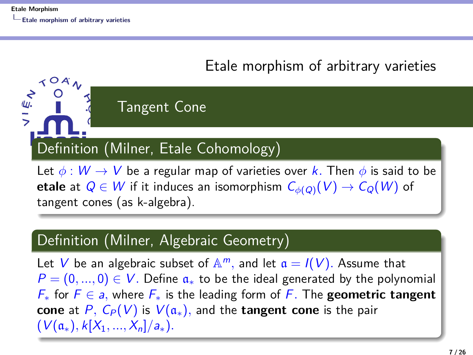$Y^{OA}$ 

くこく<br>フリーン

#### [Etale morphism of arbitrary varieties](#page-8-0)

## Definition (Milner, Etale Cohomology)

Tangent Cone

Let  $\phi : W \to V$  be a regular map of varieties over k. Then  $\phi$  is said to be **etale** at  $Q \in W$  if it induces an isomorphism  $C_{\phi(Q)}(V) \to C_{Q}(W)$  of tangent cones (as k-algebra).

#### Definition (Milner, Algebraic Geometry)

Let V be an algebraic subset of  $\mathbb{A}^m$ , and let  $\mathfrak{a} = I(V)$ . Assume that  $P = (0, ..., 0) \in V$ . Define  $a_{\ast}$  to be the ideal generated by the polynomial F<sup>∗</sup> for F ∈ a*,* where F<sup>∗</sup> is the leading form of F*.* The **geometric tangent cone** at P,  $C_P(V)$  is  $V(a_*)$ , and the **tangent cone** is the pair  $(V(a_*)$ ,  $k[X_1, ..., X_n]/a_*$ ).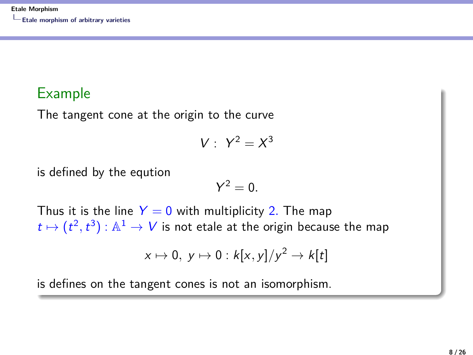#### Example

The tangent cone at the origin to the curve

$$
V: Y^2 = X^3
$$

is defined by the eqution

$$
Y^2=0.
$$

Thus it is the line  $Y = 0$  with multiplicity 2. The map  $t\mapsto (t^2,t^3): \mathbb{A}^1\to V$  is not etale at the origin because the map

$$
x \mapsto 0, y \mapsto 0 : k[x, y]/y^2 \to k[t]
$$

is defines on the tangent cones is not an isomorphism.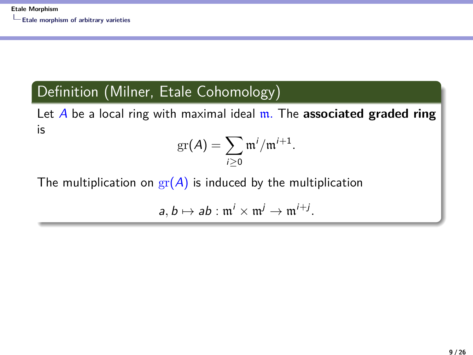#### Definition (Milner, Etale Cohomology)

Let A be a local ring with maximal ideal m*.* The **associated graded ring** is

$$
\mathrm{gr}(A)=\sum_{i\geq 0}\mathfrak{m}^i/\mathfrak{m}^{i+1}.
$$

The multiplication on  $gr(A)$  is induced by the multiplication

 $a, b \mapsto ab : \mathfrak{m}^i \times \mathfrak{m}^j \to \mathfrak{m}^{i+j}.$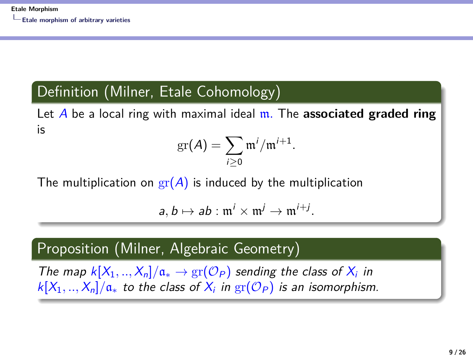#### Definition (Milner, Etale Cohomology)

Let A be a local ring with maximal ideal m*.* The **associated graded ring** is

$$
\mathrm{gr}(A)=\sum_{i\geq 0}\mathfrak{m}^i/\mathfrak{m}^{i+1}.
$$

The multiplication on  $\text{gr}(A)$  is induced by the multiplication

 $a, b \mapsto ab : \mathfrak{m}^i \times \mathfrak{m}^j \to \mathfrak{m}^{i+j}.$ 

#### Proposition (Milner, Algebraic Geometry)

The map  $k[X_1, ..., X_n]/\mathfrak{a}_* \to \text{gr}(\mathcal{O}_P)$  sending the class of  $X_i$  in  $\mathcal{K}[X_1,..,X_n]/\mathfrak{a}_*$  to the class of  $X_i$  in  $\mathrm{gr}(\mathcal{O}_P)$  is an isomorphism.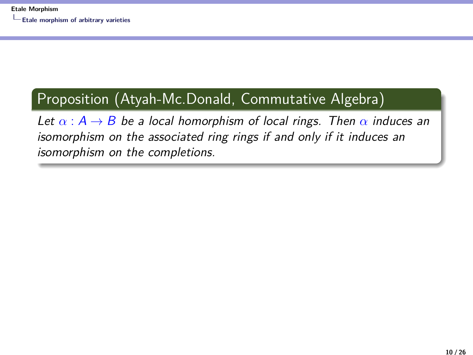#### Proposition (Atyah-Mc.Donald, Commutative Algebra)

Let  $\alpha$  :  $A \rightarrow B$  be a local homorphism of local rings. Then  $\alpha$  induces an isomorphism on the associated ring rings if and only if it induces an isomorphism on the completions.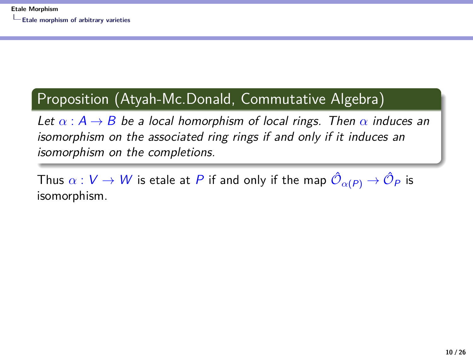#### Proposition (Atyah-Mc.Donald, Commutative Algebra)

Let  $\alpha$  :  $A \rightarrow B$  be a local homorphism of local rings. Then  $\alpha$  induces an isomorphism on the associated ring rings if and only if it induces an isomorphism on the completions.

Thus  $\alpha:V\to W$  is etale at  $P$  if and only if the map  $\hat{\mathcal{O}}_{\alpha(P)}\to\hat{\mathcal{O}}_P$  is isomorphism.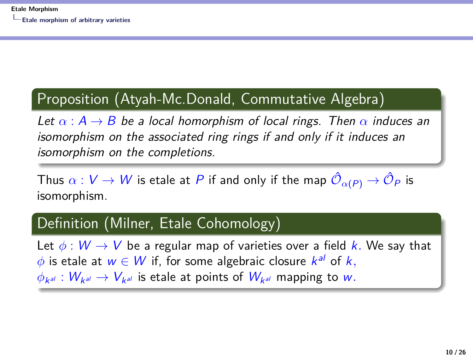#### Proposition (Atyah-Mc.Donald, Commutative Algebra)

Let  $\alpha$  :  $A \rightarrow B$  be a local homorphism of local rings. Then  $\alpha$  induces an isomorphism on the associated ring rings if and only if it induces an isomorphism on the completions.

Thus  $\alpha:V\to W$  is etale at  $P$  if and only if the map  $\hat{\mathcal{O}}_{\alpha(P)}\to\hat{\mathcal{O}}_P$  is isomorphism.

#### Definition (Milner, Etale Cohomology)

Let  $\phi : W \to V$  be a regular map of varieties over a field k. We say that  $\phi$  is etale at  $w \in W$  if, for some algebraic closure  $k^{al}$  of  $k,$  $\phi_{\mathsf{k}^{\mathsf{a} l}} : W_{\mathsf{k}^{\mathsf{a} l}} \to V_{\mathsf{k}^{\mathsf{a} l}}$  is etale at points of  $W_{\mathsf{k}^{\mathsf{a} l}}$  mapping to  $w.$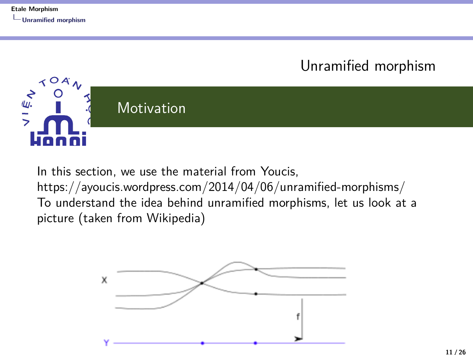<span id="page-16-0"></span>[Unramified morphism](#page-16-0)  $\angle$ OA ノーミン **Motivation** 

In this section, we use the material from Youcis. https://ayoucis.wordpress.com/2014/04/06/unramified-morphisms/ To understand the idea behind unramified morphisms, let us look at a picture (taken from Wikipedia)

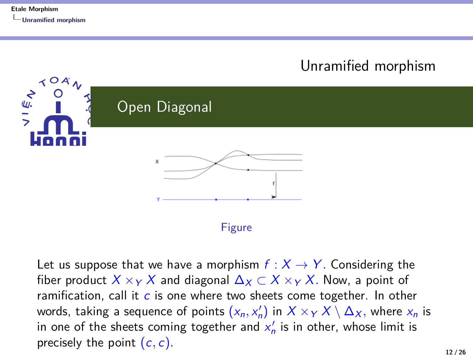

Let us suppose that we have a morphism  $f : X \rightarrow Y$ . Considering the fiber product  $X \times_Y X$  and diagonal  $\Delta_X \subset X \times_Y X$ . Now, a point of ramification, call it  $c$  is one where two sheets come together. In other words, taking a sequence of points  $(x_n, x'_n)$  in  $X \times_Y X \setminus \Delta_X,$  where  $x_n$  is in one of the sheets coming together and  $x_n'$  is in other, whose limit is precisely the point (c*,* c)*.*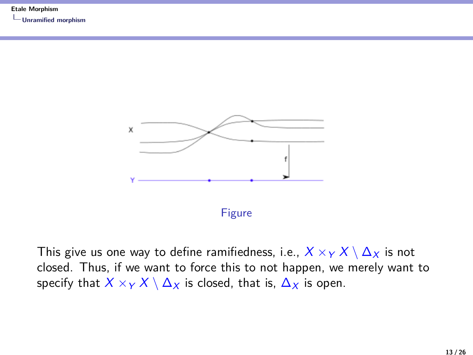**[Unramified morphism](#page-16-0)**



This give us one way to define ramifiedness, i.e.,  $X \times_Y X \setminus \Delta_X$  is not closed. Thus, if we want to force this to not happen, we merely want to specify that  $X \times_Y X \setminus \Delta_X$  is closed, that is,  $\Delta_X$  is open.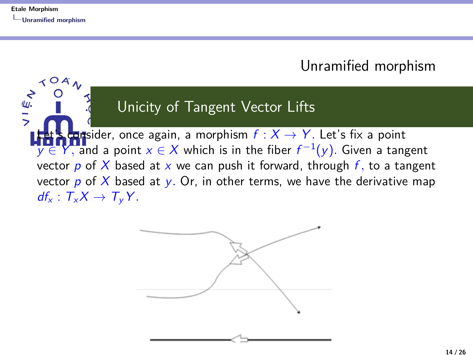$\sim$  O A

 $rac{1}{2}$ 

#### [Unramified morphism](#page-16-0)

#### Unicity of Tangent Vector Lifts

**Lot** sider, once again, a morphism  $f : X \rightarrow Y$ . Let's fix a point  $y \in Y$ , and a point  $x \in X$  which is in the fiber  $f^{-1}(y)$ . Given a tangent vector  $p$  of  $X$  based at  $x$  we can push it forward, through  $f$ , to a tangent vector  $p$  of  $X$  based at  $y$ . Or, in other terms, we have the derivative map  $df_x$  :  $T_xX \rightarrow T_yY$ .

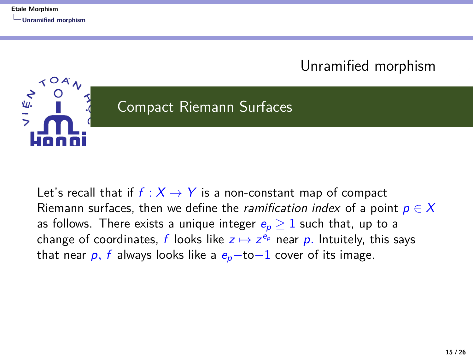#### [Unramified morphism](#page-16-0)



Let's recall that if  $f : X \rightarrow Y$  is a non-constant map of compact Riemann surfaces, then we define the *ramification index* of a point  $p \in X$ as follows. There exists a unique integer  $e_p \geq 1$  such that, up to a change of coordinates, f looks like  $z \mapsto z^{e_p}$  near p. Intuitely, this says that near  $p$ , f always looks like a  $e_p$ -to-1 cover of its image.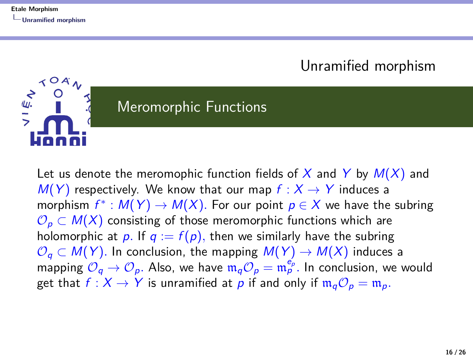$OA$ 

)<br>-<br>-

#### [Unramified morphism](#page-16-0)

## Meromorphic Functions

Let us denote the meromophic function fields of X and Y by  $M(X)$  and  $M(Y)$  respectively. We know that our map  $f: X \rightarrow Y$  induces a morphism  $f^*: M(Y) \to M(X)$ . For our point  $p \in X$  we have the subring  $\mathcal{O}_{p} \subset M(X)$  consisting of those meromorphic functions which are holomorphic at p. If  $q := f(p)$ , then we similarly have the subring  $\mathcal{O}_q \subset M(Y)$ . In conclusion, the mapping  $M(Y) \to M(X)$  induces a mapping  $\mathcal{O}_q \to \mathcal{O}_p$ . Also, we have  $\mathfrak{m}_q \mathcal{O}_p = \mathfrak{m}_p^{e_p}$ . In conclusion, we would get that  $f : X \to Y$  is unramified at p if and only if  $\mathfrak{m}_q \mathcal{O}_p = \mathfrak{m}_p$ .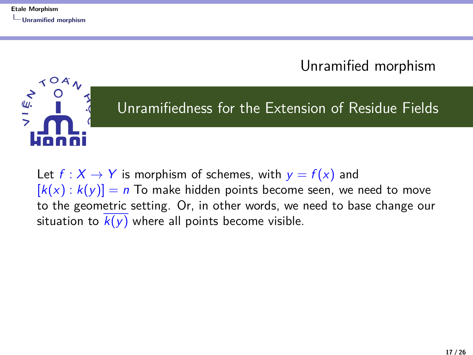[Unramified morphism](#page-16-0)

## $\lambda$  O A  $\sum_{i=1}^{n}$ Unramifiedness for the Extension of Residue Fields

Let  $f: X \to Y$  is morphism of schemes, with  $y = f(x)$  and  $[k(x) : k(y)] = n$  To make hidden points become seen, we need to move to the geometric setting. Or, in other words, we need to base change our situation to  $\overline{k(y)}$  where all points become visible.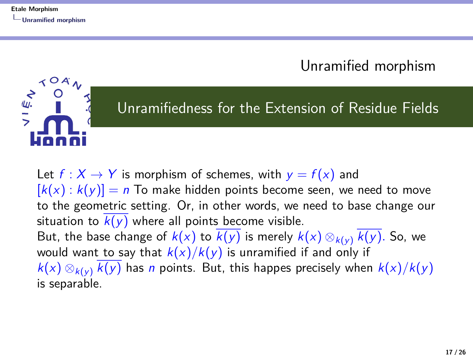$O<sub>A</sub>$ 

 $\sum_{i=1}^n$ 

[Unramified morphism](#page-16-0)

#### Unramifiedness for the Extension of Residue Fields

Let  $f: X \to Y$  is morphism of schemes, with  $y = f(x)$  and  $[k(x) : k(y)] = n$  To make hidden points become seen, we need to move to the geometric setting. Or, in other words, we need to base change our situation to  $\overline{k(y)}$  where all points become visible. But, the base change of  $k(x)$  to  $\overline{k(y)}$  is merely  $k(x) \otimes_{k(y)} \overline{k(y)}$ . So, we would want to say that  $k(x)/k(y)$  is unramified if and only if  $k(x) \otimes_{k(x)} \overline{k(y)}$  has *n* points. But, this happes precisely when  $k(x)/k(y)$ is separable.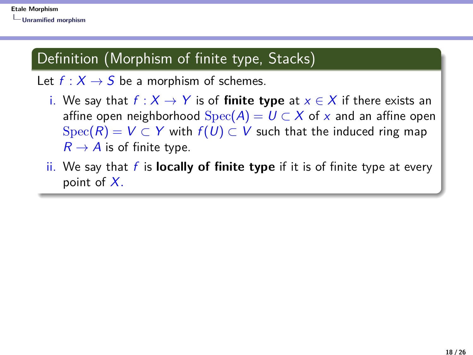#### Definition (Morphism of finite type, Stacks)

Let  $f : X \rightarrow S$  be a morphism of schemes.

- i. We say that  $f : X \rightarrow Y$  is of **finite type** at  $x \in X$  if there exists an affine open neighborhood  $Spec(A) = U \subset X$  of x and an affine open  $Spec(R) = V \subset Y$  with  $f(U) \subset V$  such that the induced ring map  $R \rightarrow A$  is of finite type.
- ii. We say that f is **locally of finite type** if it is of finite type at every point of X*.*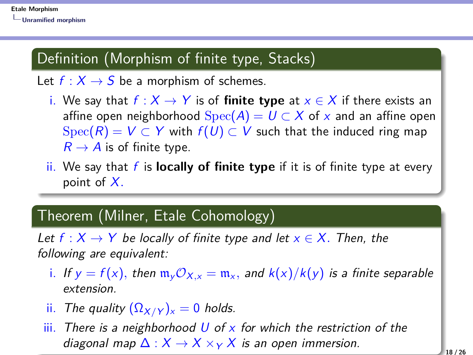#### Definition (Morphism of finite type, Stacks)

Let  $f : X \rightarrow S$  be a morphism of schemes.

- i. We say that  $f: X \rightarrow Y$  is of **finite type** at  $x \in X$  if there exists an affine open neighborhood  $Spec(A) = U \subset X$  of x and an affine open  $Spec(R) = V \subset Y$  with  $f(U) \subset V$  such that the induced ring map  $R \rightarrow A$  is of finite type.
- ii. We say that f is **locally of finite type** if it is of finite type at every point of X*.*

#### Theorem (Milner, Etale Cohomology)

Let  $f: X \to Y$  be locally of finite type and let  $x \in X$ . Then, the following are equivalent:

- i. If  $y = f(x)$ , then  $\mathfrak{m}_y \mathcal{O}_{X,x} = \mathfrak{m}_x$ , and  $k(x)/k(y)$  is a finite separable extension.
- ii. The quality  $(\Omega_{X/Y})_{x} = 0$  holds.
- $\overline{\mathsf{iii}}$ . There is a neighborhood U of x for which the restriction of the diagonal map  $\Delta: X \to X \times_Y X$  is an open immersion.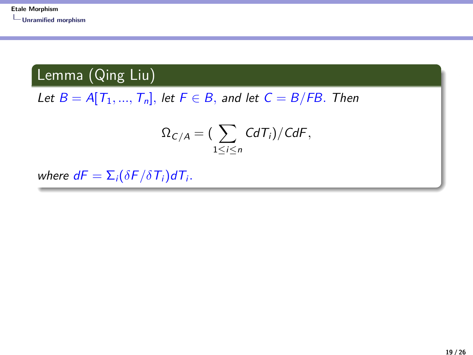#### Lemma (Qing Liu)

Let  $B = A[T_1, ..., T_n]$ , let  $F \in B$ , and let  $C = B/FB$ . Then

$$
\Omega_{C/A} = \left(\sum_{1 \leq i \leq n} C dT_i\right)/C dF,
$$

where  $dF = \sum_i (\delta F / \delta T_i) dT_i$ .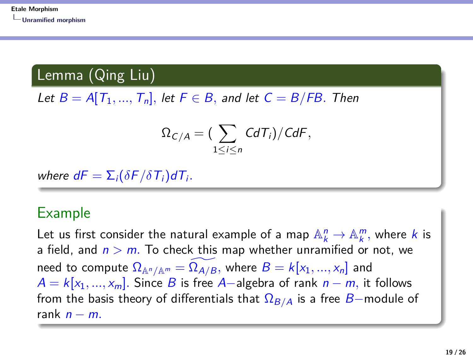Lemma (Qing Liu)

Let  $B = A[T_1, ..., T_n]$ , let  $F \in B$ , and let  $C = B/FB$ . Then

$$
\Omega_{C/A} = \big(\sum_{1 \leq i \leq n} CdT_i\big)/C dF,
$$

where  $dF = \sum_i (\delta F / \delta T_i) dT_i$ .

#### Example

Let us first consider the natural example of a map  $\mathbb{A}^n_k \to \mathbb{A}^m_k$ , where k is a field, and  $n > m$ . To check this map whether unramified or not, we need to compute  $\Omega_{\mathbb{A}^n/\mathbb{A}^m} = \Omega_{A/B}$ , where  $B = k[x_1, ..., x_n]$  and  $A = k[x_1, ..., x_m]$ . Since B is free A-algebra of rank  $n - m$ , it follows from the basis theory of differentials that  $\Omega_{B/A}$  is a free B-module of rank  $n - m$ .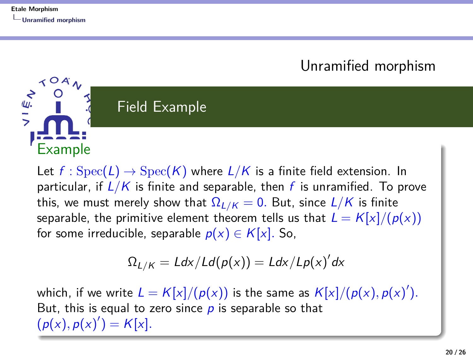Example

 $O<sub>A</sub>$ 

 $rac{1}{2}$ 

[Unramified morphism](#page-16-0)

## Field Example

Let  $f : \text{Spec}(L) \to \text{Spec}(K)$  where  $L/K$  is a finite field extension. In particular, if  $L/K$  is finite and separable, then f is unramified. To prove this, we must merely show that  $\Omega_{L/K} = 0$ . But, since  $L/K$  is finite separable, the primitive element theorem tells us that  $L = K[x]/(p(x))$ for some irreducible, separable  $p(x) \in K[x]$ . So,

$$
\Omega_{L/K}=Ldx/Ld(p(x))=Ldx/Lp(x)'dx
$$

which, if we write  $L = K[x]/(p(x))$  is the same as  $K[x]/(p(x), p(x)')$ . But, this is equal to zero since  $p$  is separable so that  $(p(x), p(x)') = K[x].$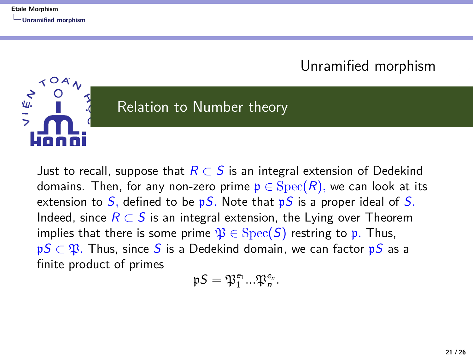$\lambda$  O A

 $\sum_{i=1}^{n}$ 

#### [Unramified morphism](#page-16-0)

#### Relation to Number theory

Just to recall, suppose that  $R \subset S$  is an integral extension of Dedekind domains. Then, for any non-zero prime  $p \in \text{Spec}(R)$ , we can look at its extension to  $S$ , defined to be  $pS$ . Note that  $pS$  is a proper ideal of S. Indeed, since  $R \subset S$  is an integral extension, the Lying over Theorem implies that there is some prime  $\mathfrak{P} \in \text{Spec}(S)$  restring to p. Thus, pS  $\subset$   $\mathfrak{P}$ . Thus, since S is a Dedekind domain, we can factor pS as a finite product of primes

$$
\mathfrak{p} \mathcal{S} = \mathfrak{P}_1^{e_1} ... \mathfrak{P}_n^{e_n}.
$$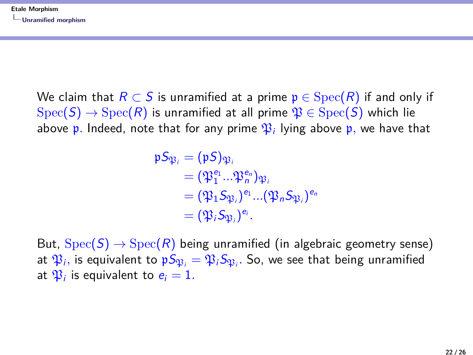We claim that  $R \subset S$  is unramified at a prime  $p \in \text{Spec}(R)$  if and only if  $Spec(S) \rightarrow Spec(R)$  is unramified at all prime  $\mathfrak{P} \in Spec(S)$  which lie above  $\frak{p}.$  Indeed, note that for any prime  $\frak{P}_i$  lying above  $\frak{p},$  we have that

$$
\begin{aligned} \mathfrak{p} \mathcal{S}_{\mathfrak{P}_i} &= (\mathfrak{p} \mathcal{S})_{\mathfrak{P}_i} \\ &= (\mathfrak{P}_1^{e_1}...\mathfrak{P}_n^{e_n})_{\mathfrak{P}_i} \\ &= (\mathfrak{P}_1 \mathcal{S}_{\mathfrak{P}_i})^{e_1} ... (\mathfrak{P}_n \mathcal{S}_{\mathfrak{P}_i})^{e_n} \\ &= (\mathfrak{P}_i \mathcal{S}_{\mathfrak{P}_i})^{e_i}. \end{aligned}
$$

But,  $Spec(S) \rightarrow Spec(R)$  being unramified (in algebraic geometry sense) at  $\mathfrak{P}_i,$  is equivalent to  $\mathfrak{p} S_{\mathfrak{P}_i} = \mathfrak{P}_i S_{\mathfrak{P}_i}.$  So, we see that being unramified at  $\mathfrak{P}_i$  is equivalent to  $e_i = 1$ .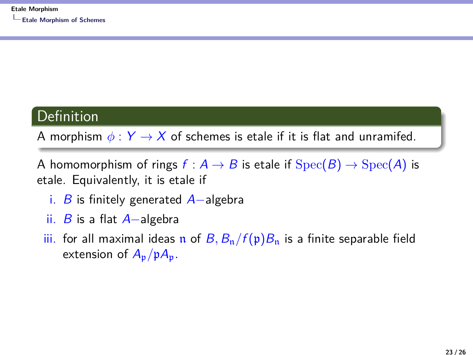#### <span id="page-31-0"></span>**Definition**

A morphism  $\phi: Y \rightarrow X$  of schemes is etale if it is flat and unramifed.

A homomorphism of rings  $f : A \rightarrow B$  is etale if  $Spec(B) \rightarrow Spec(A)$  is etale. Equivalently, it is etale if

- i. B is finitely generated  $A$ -algebra
- ii. B is a flat  $A$ -algebra
- iii. for all maximal ideas n of  $B$ ,  $B_n/f(p)B_n$  is a finite separable field extension of  $A_p/pA_p$ .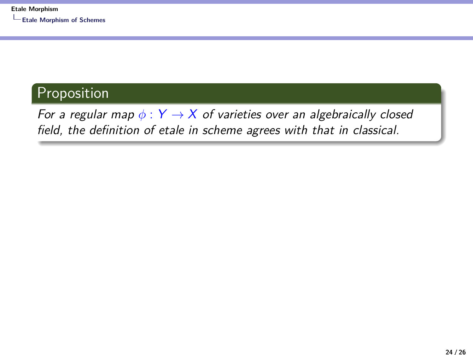#### Proposition

For a regular map  $\phi: Y \to X$  of varieties over an algebraically closed field, the definition of etale in scheme agrees with that in classical.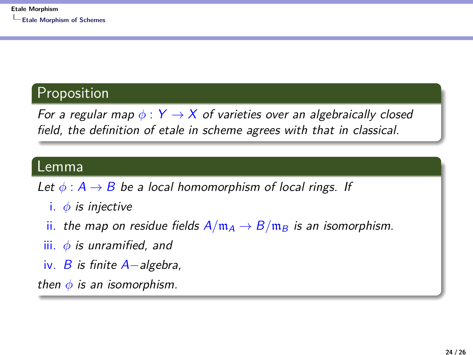#### Proposition

For a regular map  $\phi: Y \rightarrow X$  of varieties over an algebraically closed field, the definition of etale in scheme agrees with that in classical.

#### Lemma

Let  $\phi: A \rightarrow B$  be a local homomorphism of local rings. If

- i. *φ* is injective
- ii. the map on residue fields  $A/m_A \rightarrow B/m_B$  is an isomorphism.
- iii. *φ* is unramified, and
- iv. B is finite  $A$ -algebra,

then  $\phi$  is an isomorphism.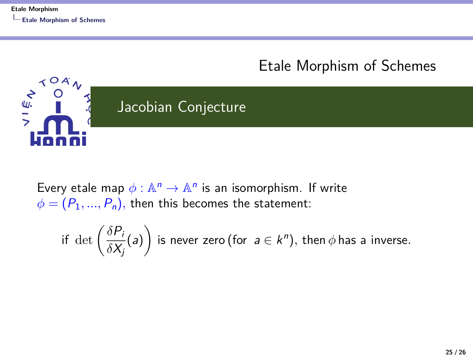$\prec$  O A

フェッ

#### [Etale Morphism of Schemes](#page-31-0)

## Jacobian Conjecture

Every etale map  $\phi : \mathbb{A}^n \to \mathbb{A}^n$  is an isomorphism. If write  $\phi = (P_1, ..., P_n)$ , then this becomes the statement:

if det 
$$
\left(\frac{\delta P_i}{\delta X_j}(a)\right)
$$
 is never zero (for  $a \in k^n$ ), then  $\phi$  has a inverse.